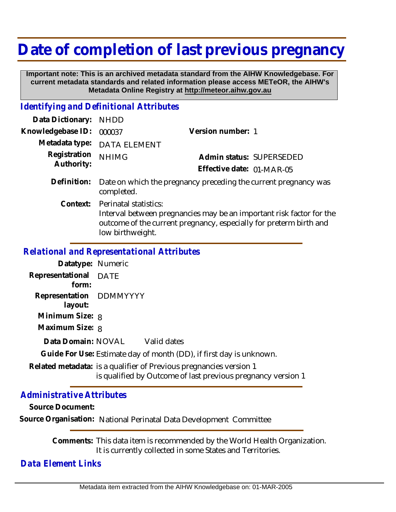# **Date of completion of last previous pregnancy**

 **Important note: This is an archived metadata standard from the AIHW Knowledgebase. For current metadata standards and related information please access METeOR, the AIHW's Metadata Online Registry at http://meteor.aihw.gov.au**

#### *Identifying and Definitional Attributes*

| Data Dictionary:           | <b>NHDD</b>                                                                                                                                                                             |                           |                                                                 |
|----------------------------|-----------------------------------------------------------------------------------------------------------------------------------------------------------------------------------------|---------------------------|-----------------------------------------------------------------|
| Knowledgebase ID:          | 000037                                                                                                                                                                                  | Version number: 1         |                                                                 |
| Metadata type:             | <b>DATA ELEMENT</b>                                                                                                                                                                     |                           |                                                                 |
| Registration<br>Authority: | <b>NHIMG</b>                                                                                                                                                                            |                           | Admin status: SUPERSEDED                                        |
|                            |                                                                                                                                                                                         | Effective date: 01-MAR-05 |                                                                 |
| Definition:                | completed.                                                                                                                                                                              |                           | Date on which the pregnancy preceding the current pregnancy was |
| Context:                   | Perinatal statistics:<br>Interval between pregnancies may be an important risk factor for the<br>outcome of the current pregnancy, especially for preterm birth and<br>low birthweight. |                           |                                                                 |

## *Relational and Representational Attributes*

| Datatype: Numeric       |                                                                                                                            |
|-------------------------|----------------------------------------------------------------------------------------------------------------------------|
| Representational DATE   |                                                                                                                            |
| form:                   |                                                                                                                            |
| Representation DDMMYYYY |                                                                                                                            |
| layout:                 |                                                                                                                            |
| Minimum Size: 8         |                                                                                                                            |
| Maximum Size: 8         |                                                                                                                            |
|                         | Data Domain: NOVAL Valid dates                                                                                             |
|                         | Guide For Use: Estimate day of month (DD), if first day is unknown.                                                        |
|                         | Related metadata: is a qualifier of Previous pregnancies version 1<br>is qualified by Outcome of last previous pregnancy v |

#### *Administrative Attributes*

**Source Document:**

**Source Organisation:** National Perinatal Data Development Committee

Comments: This data item is recommended by the World Health Organization. It is currently collected in some States and Territories.

version 1

### *Data Element Links*